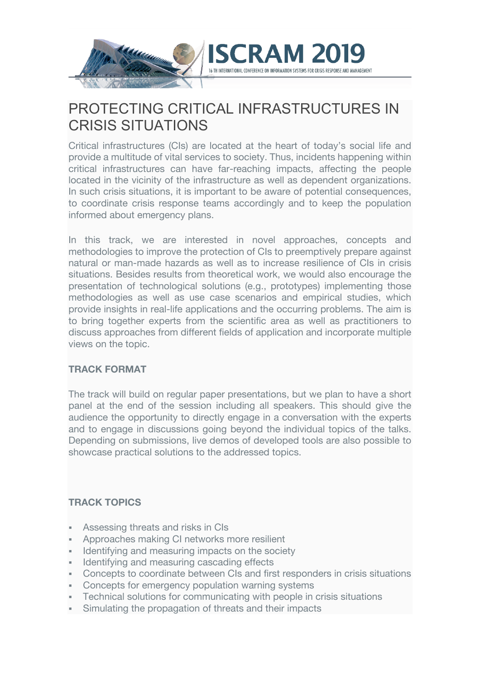

# PROTECTING CRITICAL INFRASTRUCTURES IN CRISIS SITUATIONS

Critical infrastructures (CIs) are located at the heart of today's social life and provide a multitude of vital services to society. Thus, incidents happening within critical infrastructures can have far-reaching impacts, affecting the people located in the vicinity of the infrastructure as well as dependent organizations. In such crisis situations, it is important to be aware of potential consequences, to coordinate crisis response teams accordingly and to keep the population informed about emergency plans.

In this track, we are interested in novel approaches, concepts and methodologies to improve the protection of CIs to preemptively prepare against natural or man-made hazards as well as to increase resilience of CIs in crisis situations. Besides results from theoretical work, we would also encourage the presentation of technological solutions (e.g., prototypes) implementing those methodologies as well as use case scenarios and empirical studies, which provide insights in real-life applications and the occurring problems. The aim is to bring together experts from the scientific area as well as practitioners to discuss approaches from different fields of application and incorporate multiple views on the topic.

#### **TRACK FORMAT**

The track will build on regular paper presentations, but we plan to have a short panel at the end of the session including all speakers. This should give the audience the opportunity to directly engage in a conversation with the experts and to engage in discussions going beyond the individual topics of the talks. Depending on submissions, live demos of developed tools are also possible to showcase practical solutions to the addressed topics.

### **TRACK TOPICS**

- § Assessing threats and risks in CIs
- § Approaches making CI networks more resilient
- Identifying and measuring impacts on the society
- **Identifying and measuring cascading effects**
- Concepts to coordinate between CIs and first responders in crisis situations
- Concepts for emergency population warning systems
- Technical solutions for communicating with people in crisis situations
- Simulating the propagation of threats and their impacts